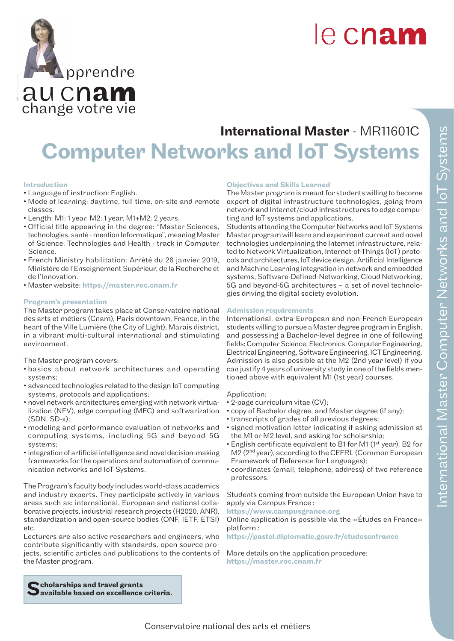

# International Master - MR11601C Computer Networks and IoT Systems

# Introduction

• Language of instruction: English.

change votre vie aucnam

**pprendre** 

- Mode of learning: daytime, full time, on-site and remote classes.
- Length: M1: 1 year, M2: 1 year, M1+M2: 2 years.
- Official title appearing in the degree: "Master Sciences, technologies, santé - mention Informatique", meaning Master of Science, Technologies and Health - track in Computer Science.
- French Ministry habilitation: Arrêté du 28 janvier 2019, Ministère de l'Enseignement Supérieur, de la Recherche et de l'Innovation.
- Master website: https://master.roc.cnam.fr

#### Program's presentation

The Master program takes place at Conservatoire national des arts et métiers (Cnam), Paris downtown, France, in the heart of the Ville Lumière (the City of Light), Marais district, in a vibrant multi-cultural international and stimulating environment.

The Master program covers:

- basics about network architectures and operating systems;
- advanced technologies related to the design IoT computing systems, protocols and applications;
- novel network architectures emerging with network virtualization (NFV), edge computing (MEC) and softwarization (SDN, SD-x);
- modeling and performance evaluation of networks and computing systems, including 5G and beyond 5G systems;
- integration of artificial intelligence and novel decision-making frameworks for the operations and automation of communication networks and IoT Systems.

The Program's faculty body includes world-class academics and industry experts. They participate actively in various areas such as: international, European and national collaborative projects, industrial research projects (H2020, ANR), standardization and open-source bodies (ONF, IETF, ETSI) etc.

Lecturers are also active researchers and engineers, who contribute significantly with standards, open source projects, scientific articles and publications to the contents of the Master program.

# Objectives and Skills Learned

The Master program is meant for students willing to become expert of digital infrastructure technologies, going from network and Internet/cloud infrastructures to edge computing and IoT systems and applications.

Students attending the Computer Networks and IoT Systems Master program will learn and experiment current and novel technologies underpinning the Internet infrastructure, related to Network Virtualization, Internet-of-Things (IoT) protocols and architectures, IoT device design, Artificial Intelligence and Machine Learning integration in network and embedded systems, Software-Defined-Networking, Cloud Networking, 5G and beyond-5G architectures – a set of novel technologies driving the digital society evolution.

#### Admission requirements

International, extra-European and non-French European students willing to pursue a Master degree program in English, and possessing a Bachelor-level degree in one of following fields: Computer Science, Electronics, Computer Engineering, Electrical Engineering, Software Engineering, ICT Engineering. Admission is also possible at the M2 (2nd year level) if you can justify 4 years of university study in one of the fields mentioned above with equivalent M1 (1st year) courses.

# Application:

- 2-page curriculum vitae (CV);
- copy of Bachelor degree, and Master degree (if any);
- transcripts of grades of all previous degrees;
- signed motivation letter indicating if asking admission at the M1 or M2 level, and asking for scholarship;
- English certificate equivalent to B1 for M1 (1st year), B2 for M2 (2nd year), according to the CEFRL (Common European Framework of Reference for Languages);
- coordinates (email, telephone, address) of two reference professors.

Students coming from outside the European Union have to apply via Campus France :

https://www.campusgrance.org

Online application is possible via the «Études en France» platform :

https://pastel.diplomatie.gouv.fr/etudesenfrance

More details on the application procedure: https://master.roc.cnam.fr

Scholarships and travel grants<br>Savailable based on excellence criteria.